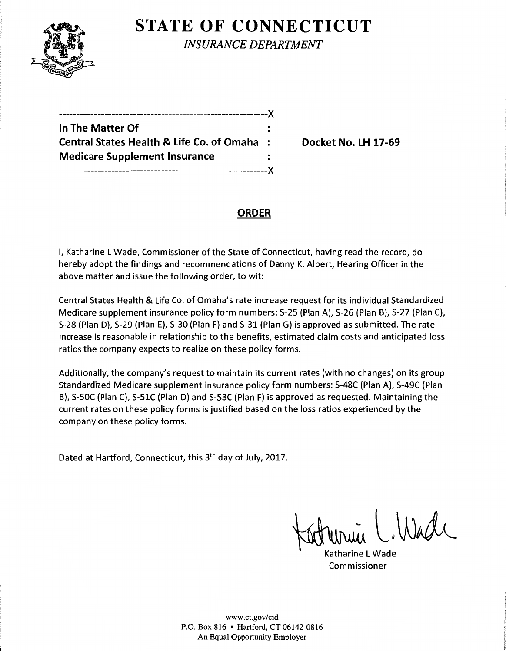

**STATE OF CONNECTICUT** 

*INSURANCE DEPARTMENT* 

|                                                      | -- X      |
|------------------------------------------------------|-----------|
| In The Matter Of                                     |           |
| <b>Central States Health &amp; Life Co. of Omaha</b> | $\sim$ 1. |
| <b>Medicare Supplement Insurance</b>                 |           |
| ----------------X                                    |           |

**Central States Health & Life Co. of Omaha** : **Docket No. LH 17-69** 

## **ORDER**

I, Katharine LWade, Commissioner of the State of Connecticut, having read the record, do hereby adopt the findings and recommendations of Danny K. Albert, Hearing Officer in the above matter and issue the following order, to wit:

Central States Health & Life Co. of Omaha's rate increase request for its individual Standardized Medicare supplement insurance policy form numbers: S-25 (Plan A), S-26 (Plan B), S-27 (Plan C), S-28 (Plan D), S-29 (Plan E), S-30 (Plan F) and S-31 (Plan G) is approved as submitted. The rate increase is reasonable in relationship to the benefits, estimated claim costs and anticipated loss ratios the company expects to realize on these policy forms.

Additionally, the company's request to maintain its current rates (with no changes) on its group Standardized Medicare supplement insurance policy form numbers: S-48C (Plan A), S-49C (Plan B), S-50C (Plan C), S-51C (Plan D) and S-53C (Plan F) is approved as requested. Maintaining the current rates on these policy forms is justified based on the loss ratios experienced by the company on these policy forms.

Dated at Hartford, Connecticut, this 3<sup>th</sup> day of July, 2017.

Wache

Katharine L Wade Commissioner

www.ct.gov/cid P.O. Box 816 • Hartford, CT 06142-0816 An Equal Opportunity Employer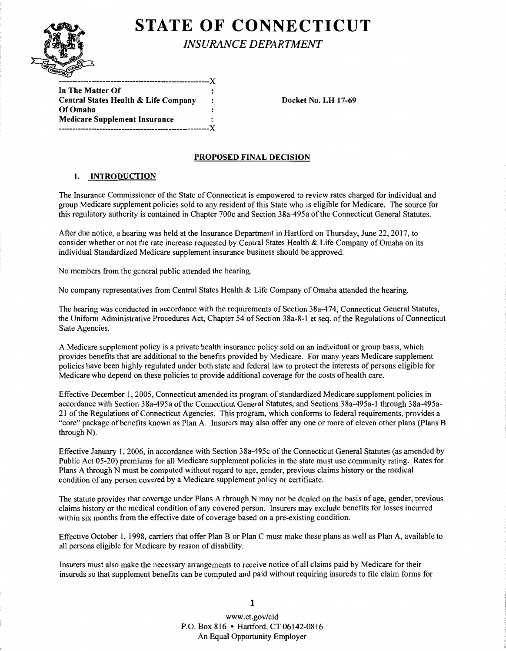

# **STATE OF CONNECTICUT**

| In The Matter Of                     |   |
|--------------------------------------|---|
| Central States Health & Life Company |   |
| Of Omaha                             |   |
| <b>Medicare Supplement Insurance</b> | : |
|                                      | Y |

Docket No. LH 17-69

### PROPOSED FINAL DECISION

#### 1. INTRODUCTION

The Insurance Commissioner of the State of Connecticut is empowered to review rates charged for individual and group Medicare supplement policies sold to any resident of this State who is eligible for Medicare. The source for this regulatory authority is contained in Chapter 700c and Section 38a-495a ofthe Connecticut General Statutes.

After due notice, a hearing was held at the Insurance Department in Hartford on Thursday, June 22, 2017, to consider whether or not the rate increase requested by Central States Health & Life Company of Omaha on its individual Standardized Medicare supplement insurance business should be approved.

No members from the general public attended the hearing.

No company representatives from Central States Health & Life Company of Omaha attended the hearing.

The hearing was conducted in accordance with the requirements of Section 38a-474, Connecticut General Statutes, the Uniform Administrative Procedures Act, Chapter 54 of Section 38a-8-l et seq. ofthe Regulations of Connecticut State Agencies.

A Medicare supplement policy is a private health insurance policy sold on an individual or group basis, which provides benefits that are additional to the benefits provided by Medicare. For many years Medicare supplement policies have been highly regulated under both state and federal law to protect the interests of persons eligible for Medicare who depend on these policies to provide additional coverage for the costs of health care.

Effective December I, 2005, Connecticut amended its program of standardized Medicare supplement policies in accordance with Section 38a-495a of the Connecticut General Statutes, and Sections 38a-495a-1 through 38a-495a-21 of the Regulations of Connecticut Agencies. This program, which conforms to federal requirements, provides a "core" package of benefits known as Plan A. Insurers may also offer any one or more of eleven other plans (Plans B through N).

Effective January I, 2006, in accordance with Section 38a-495c of the Connecticut General Statutes (as amended by Public Act 05-20) premiums for all Medicare supplement policies in the state must use community rating. Rates for Plans A through N must be computed without regard to age, gender, previous claims history or the medical condition of any person covered by a Medicare supplement policy or certificate.

The statute provides that coverage under Plans A through N may not be denied on the basis of age, gender, previous claims history or the medical condition of any covered person. Insurers may exclude benefits for losses incurred within six months from the effective date of coverage based on a pre-existing condition.

Effective October 1, 1998, carriers that offer Plan B or Plan C must make these plans as well as Plan A, available to all persons eligible for Medicare by reason of disability.

Insurers must also make the necessary arrangements to receive notice of all claims paid by Medicare for their insureds so that supplement benefits can be computed and paid without requiring insureds to file claim forms for

> www .ct.gov/cid P.O. Box 816 • Hartford, CT 06142-0816 An Equal Opportunity Employer

1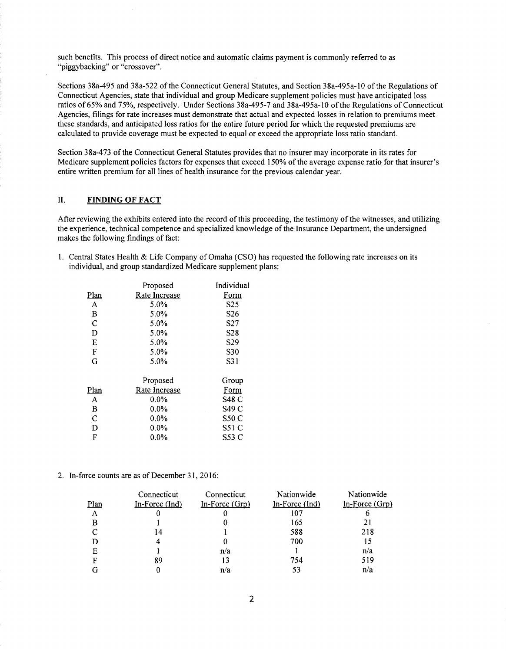such benefits. This process of direct notice and automatic claims payment is commonly referred to as "piggybacking" or "crossover".

Sections 38a-495 and 38a-522 ofthe Connecticut General Statutes, and Section 38a-495a-10 ofthe Regulations of Connecticut Agencies, state that individual and group Medicare supplement policies must have anticipated loss ratios of 65% and 75%, respectively. Under Sections 38a-495-7 and 38a-495a-10 of the Regulations of Connecticut Agencies, filings for rate increases must demonstrate that actual and expected losses in relation to premiums meet these standards, and anticipated loss ratios for the entire future period for which the requested premiums are calculated to provide coverage must be expected to equal or exceed the appropriate loss ratio standard.

Section 38a-473 ofthe Connecticut General Statutes provides that no insurer may incorporate in its rates for Medicare supplement policies factors for expenses that exceed 150% of the average expense ratio for that insurer's entire written premium for all lines of health insurance for the previous calendar year.

#### II. **FINDING OF FACT**

After reviewing the exhibits entered into the record of this proceeding, the testimony of the witnesses, and utilizing the experience, technical competence and specialized knowledge of the Insurance Department, the undersigned makes the following findings of fact:

1. Central States Health & Life Company of Omaha (CSO) has requested the following rate increases on its individual, and group standardized Medicare supplement plans:

|      | Proposed      | Individual      |
|------|---------------|-----------------|
| Plan | Rate Increase | Form            |
| A    | 5.0%          | S <sub>25</sub> |
| B    | 5.0%          | S26             |
| C    | 5.0%          | S27             |
| D    | 5.0%          | S <sub>28</sub> |
| E    | 5.0%          | S <sub>29</sub> |
| F    | 5.0%          | S30             |
| G    | 5.0%          | S31             |
|      | Proposed      | Group           |
| Plan | Rate Increase | Form            |
| A    | $0.0\%$       | <b>S48 C</b>    |
| B    | $0.0\%$       | S49 C           |
| C    | $0.0\%$       | <b>S50 C</b>    |
| D    | $0.0\%$       | S51 C           |
| F    | $0.0\%$       | S53 C           |
|      |               |                 |

2. In-force counts are as of December 31, 2016:

|              | Connecticut      | Connecticut      | Nationwide     | Nationwide       |
|--------------|------------------|------------------|----------------|------------------|
| Plan         | In-Force $(Ind)$ | $In-Force (Grp)$ | In-Force (Ind) | $In-Force (Grp)$ |
| $\mathbf{A}$ |                  |                  | 107            |                  |
| в            |                  |                  | 165            | 21               |
|              | 14               |                  | 588            | 218              |
|              |                  |                  | 700            | 15               |
| Е            |                  | n/a              |                | n/a              |
| F            | 89               | 13               | 754            | 519              |
|              |                  | n/a              | 53             | n/a              |